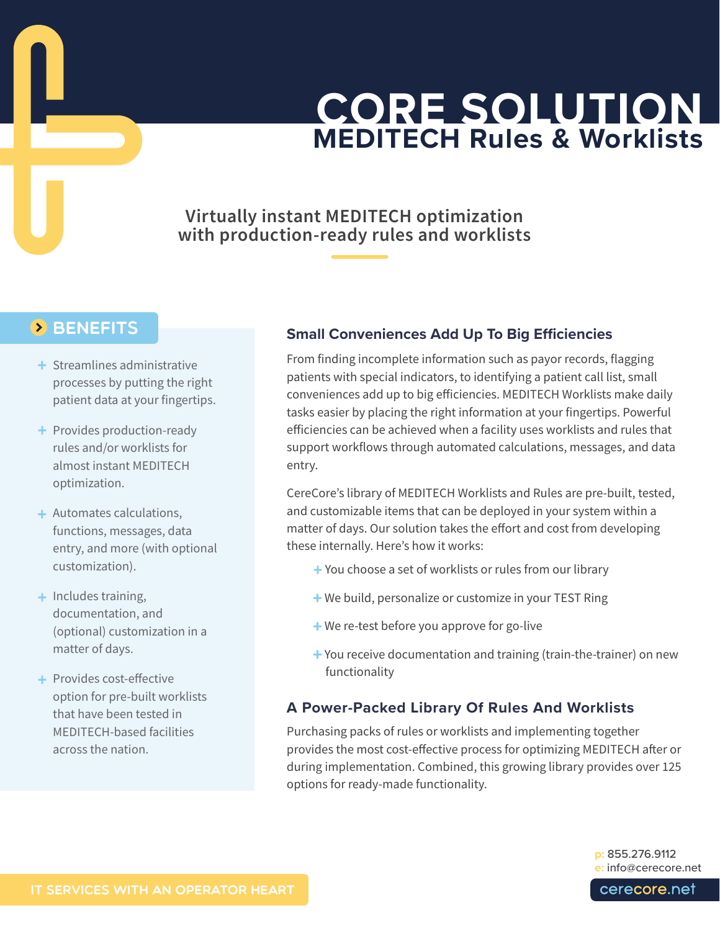# **CORE SOLUTION MEDITECH Rules & Worklists**

## **Virtually instant MEDITECH optimization with production-ready rules and worklists**

### **BENEFITS**

- + Streamlines administrative processes by putting the right patient data at your fingertips.
- + Provides production-ready rules and/or worklists for almost instant MEDITECH optimization.
- + Automates calculations, functions, messages, data entry, and more (with optional customization).
- + Includes training, documentation, and (optional) customization in a matter of days.
- + Provides cost-effective option for pre-built worklists that have been tested in MEDITECH-based facilities across the nation.

#### **Small Conveniences Add Up To Big Efficiencies**

From finding incomplete information such as payor records, flagging patients with special indicators, to identifying a patient call list, small conveniences add up to big efficiencies. MEDITECH Worklists make daily tasks easier by placing the right information at your fingertips. Powerful efficiencies can be achieved when a facility uses worklists and rules that support workflows through automated calculations, messages, and data entry.

CereCore's library of MEDITECH Worklists and Rules are pre-built, tested, and customizable items that can be deployed in your system within a matter of days. Our solution takes the effort and cost from developing these internally. Here's how it works:

- + You choose a set of worklists or rules from our library
- + We build, personalize or customize in your TEST Ring
- + We re-test before you approve for go-live
- + You receive documentation and training (train-the-trainer) on new functionality

#### **A Power-Packed Library Of Rules And Worklists**

Purchasing packs of rules or worklists and implementing together provides the most cost-effective process for optimizing MEDITECH after or during implementation. Combined, this growing library provides over 125 options for ready-made functionality.

> **p:** 855.276.9112 **e:** [info@cerecore.net](http://info@cerecore.net)